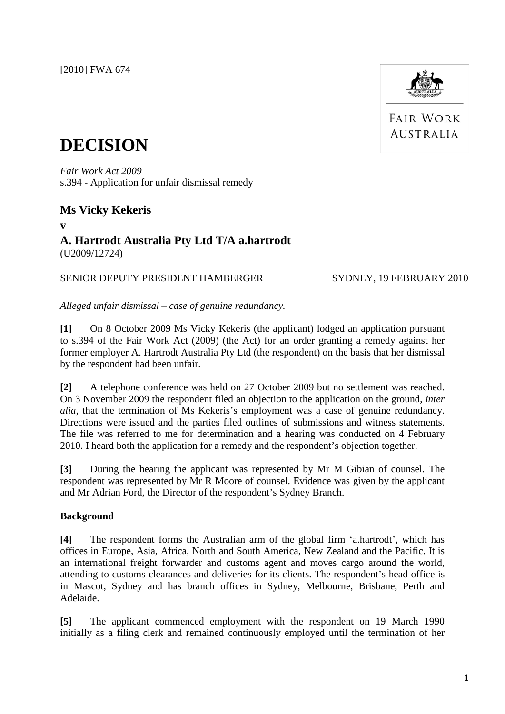[2010] FWA 674



**FAIR WORK AUSTRALIA** 

# **DECISION**

*Fair Work Act 2009* s.394 - Application for unfair dismissal remedy

# **Ms Vicky Kekeris**

**v**

# **A. Hartrodt Australia Pty Ltd T/A a.hartrodt** (U2009/12724)

## SENIOR DEPUTY PRESIDENT HAMBERGER SYDNEY, 19 FEBRUARY 2010

*Alleged unfair dismissal – case of genuine redundancy.*

**[1]** On 8 October 2009 Ms Vicky Kekeris (the applicant) lodged an application pursuant to s.394 of the Fair Work Act (2009) (the Act) for an order granting a remedy against her former employer A. Hartrodt Australia Pty Ltd (the respondent) on the basis that her dismissal by the respondent had been unfair.

**[2]** A telephone conference was held on 27 October 2009 but no settlement was reached. On 3 November 2009 the respondent filed an objection to the application on the ground, *inter alia,* that the termination of Ms Kekeris's employment was a case of genuine redundancy. Directions were issued and the parties filed outlines of submissions and witness statements. The file was referred to me for determination and a hearing was conducted on 4 February 2010. I heard both the application for a remedy and the respondent's objection together.

**[3]** During the hearing the applicant was represented by Mr M Gibian of counsel. The respondent was represented by Mr R Moore of counsel. Evidence was given by the applicant and Mr Adrian Ford, the Director of the respondent's Sydney Branch.

### **Background**

**[4]** The respondent forms the Australian arm of the global firm 'a.hartrodt', which has offices in Europe, Asia, Africa, North and South America, New Zealand and the Pacific. It is an international freight forwarder and customs agent and moves cargo around the world, attending to customs clearances and deliveries for its clients. The respondent's head office is in Mascot, Sydney and has branch offices in Sydney, Melbourne, Brisbane, Perth and Adelaide.

**[5]** The applicant commenced employment with the respondent on 19 March 1990 initially as a filing clerk and remained continuously employed until the termination of her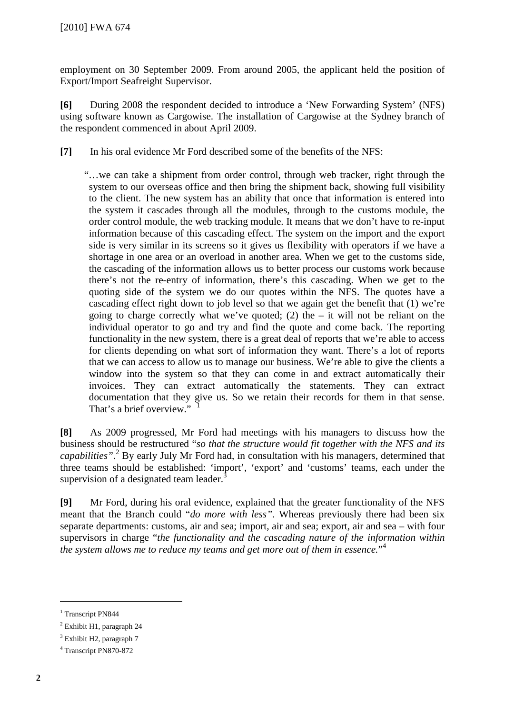employment on 30 September 2009. From around 2005, the applicant held the position of Export/Import Seafreight Supervisor.

**[6]** During 2008 the respondent decided to introduce a 'New Forwarding System' (NFS) using software known as Cargowise. The installation of Cargowise at the Sydney branch of the respondent commenced in about April 2009.

**[7]** In his oral evidence Mr Ford described some of the benefits of the NFS:

"…we can take a shipment from order control, through web tracker, right through the system to our overseas office and then bring the shipment back, showing full visibility to the client. The new system has an ability that once that information is entered into the system it cascades through all the modules, through to the customs module, the order control module, the web tracking module. It means that we don't have to re-input information because of this cascading effect. The system on the import and the export side is very similar in its screens so it gives us flexibility with operators if we have a shortage in one area or an overload in another area. When we get to the customs side, the cascading of the information allows us to better process our customs work because there's not the re-entry of information, there's this cascading. When we get to the quoting side of the system we do our quotes within the NFS. The quotes have a cascading effect right down to job level so that we again get the benefit that (1) we're going to charge correctly what we've quoted; (2) the  $-$  it will not be reliant on the individual operator to go and try and find the quote and come back. The reporting functionality in the new system, there is a great deal of reports that we're able to access for clients depending on what sort of information they want. There's a lot of reports that we can access to allow us to manage our business. We're able to give the clients a window into the system so that they can come in and extract automatically their invoices. They can extract automatically the statements. They can extract documentation that they give us. So we retain their records for them in that sense. That's a brief overview."

**[8]** As 2009 progressed, Mr Ford had meetings with his managers to discuss how the business should be restructured "*so that the structure would fit together with the NFS and its capabilities"*. <sup>2</sup> By early July Mr Ford had, in consultation with his managers, determined that three teams should be established: 'import', 'export' and 'customs' teams, each under the supervision of a designated team leader. $3$ 

**[9]** Mr Ford, during his oral evidence, explained that the greater functionality of the NFS meant that the Branch could "*do more with less".* Whereas previously there had been six separate departments: customs, air and sea; import, air and sea; export, air and sea – with four supervisors in charge "*the functionality and the cascading nature of the information within the system allows me to reduce my teams and get more out of them in essence.*" 4

<sup>&</sup>lt;sup>1</sup> Transcript PN844

<sup>2</sup> Exhibit H1, paragraph 24

<sup>&</sup>lt;sup>3</sup> Exhibit H2, paragraph 7

<span id="page-1-0"></span><sup>4</sup> Transcript PN870-872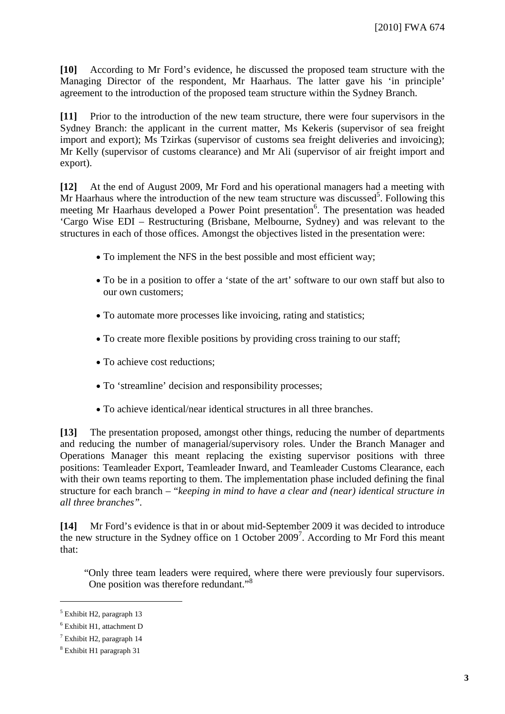**[10]** According to Mr Ford's evidence, he discussed the proposed team structure with the Managing Director of the respondent, Mr Haarhaus. The latter gave his 'in principle' agreement to the introduction of the proposed team structure within the Sydney Branch.

**[11]** Prior to the introduction of the new team structure, there were four supervisors in the Sydney Branch: the applicant in the current matter, Ms Kekeris (supervisor of sea freight import and export); Ms Tzirkas (supervisor of customs sea freight deliveries and invoicing); Mr Kelly (supervisor of customs clearance) and Mr Ali (supervisor of air freight import and export).

**[12]** At the end of August 2009, Mr Ford and his operational managers had a meeting with Mr Haarhaus where the introduction of the new team structure was discussed<sup>5</sup>. Following this meeting Mr Haarhaus developed a Power Point presentation<sup>6</sup>. The presentation was headed 'Cargo Wise EDI – Restructuring (Brisbane, Melbourne, Sydney) and was relevant to the structures in each of those offices. Amongst the objectives listed in the presentation were:

- To implement the NFS in the best possible and most efficient way;
- To be in a position to offer a 'state of the art' software to our own staff but also to our own customers;
- To automate more processes like invoicing, rating and statistics;
- To create more flexible positions by providing cross training to our staff;
- To achieve cost reductions;
- To 'streamline' decision and responsibility processes;
- To achieve identical/near identical structures in all three branches.

**[13]** The presentation proposed, amongst other things, reducing the number of departments and reducing the number of managerial/supervisory roles. Under the Branch Manager and Operations Manager this meant replacing the existing supervisor positions with three positions: Teamleader Export, Teamleader Inward, and Teamleader Customs Clearance, each with their own teams reporting to them. The implementation phase included defining the final structure for each branch – "*keeping in mind to have a clear and (near) identical structure in all three branches".*

**[14]** Mr Ford's evidence is that in or about mid-September 2009 it was decided to introduce the new structure in the Sydney office on 1 October  $2009<sup>7</sup>$ . According to Mr Ford this meant that:

"Only three team leaders were required, where there were previously four supervisors. One position was therefore redundant."<sup>8</sup>

 $<sup>5</sup>$  Exhibit H2, paragraph 13</sup>

<sup>6</sup> Exhibit H1, attachment D

<sup>7</sup> Exhibit H2, paragraph 14

<sup>8</sup> Exhibit H1 paragraph 31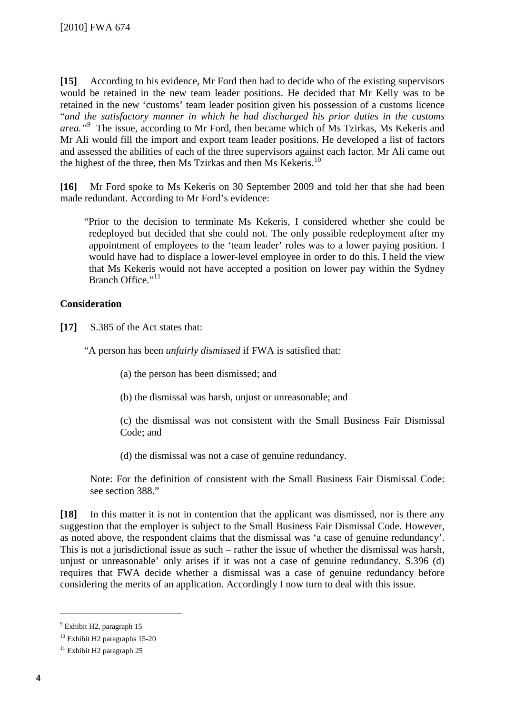**[15]** According to his evidence, Mr Ford then had to decide who of the existing supervisors would be retained in the new team leader positions. He decided that Mr Kelly was to be retained in the new 'customs' team leader position given his possession of a customs licence "*and the satisfactory manner in which he had discharged his prior duties in the customs area."<sup>9</sup>* The issue, according to Mr Ford, then became which of Ms Tzirkas, Ms Kekeris and Mr Ali would fill the import and export team leader positions. He developed a list of factors and assessed the abilities of each of the three supervisors against each factor. Mr Ali came out the highest of the three, then Ms Tzirkas and then Ms Kekeris.<sup>10</sup>

**[16]** Mr Ford spoke to Ms Kekeris on 30 September 2009 and told her that she had been made redundant. According to Mr Ford's evidence:

"Prior to the decision to terminate Ms Kekeris, I considered whether she could be redeployed but decided that she could not. The only possible redeployment after my appointment of employees to the 'team leader' roles was to a lower paying position. I would have had to displace a lower-level employee in order to do this. I held the view that Ms Kekeris would not have accepted a position on lower pay within the Sydney Branch Office."<sup>11</sup>

### **Consideration**

**[17]** S.385 of the Act states that:

"A person has been *unfairly dismissed* if FWA is satisfied that:

(a) the person has been dismissed; and

(b) the dismissal was harsh, unjust or unreasonable; and

(c) the dismissal was not consistent with the Small Business Fair Dismissal Code; and

(d) the dismissal was not a case of genuine redundancy.

Note: For the definition of consistent with the Small Business Fair Dismissal Code: see section 388."

**[18]** In this matter it is not in contention that the applicant was dismissed, nor is there any suggestion that the employer is subject to the Small Business Fair Dismissal Code. However, as noted above, the respondent claims that the dismissal was 'a case of genuine redundancy'. This is not a jurisdictional issue as such – rather the issue of whether the dismissal was harsh, unjust or unreasonable' only arises if it was not a case of genuine redundancy. S.396 (d) requires that FWA decide whether a dismissal was a case of genuine redundancy before considering the merits of an application. Accordingly I now turn to deal with this issue.

 <sup>9</sup> Exhibit H2, paragraph 15

<sup>10</sup> Exhibit H2 paragraphs 15-20

 $11$  Exhibit H2 paragraph 25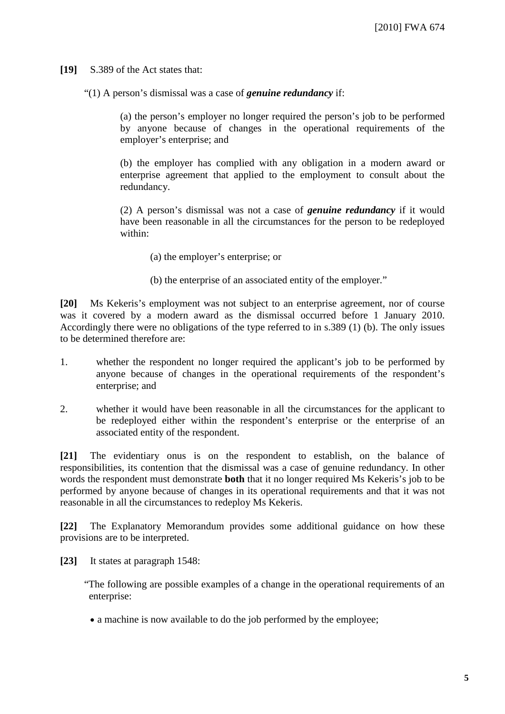**[19]** S.389 of the Act states that:

"(1) A person's dismissal was a case of *genuine redundancy* if:

(a) the person's employer no longer required the person's job to be performed by anyone because of changes in the operational requirements of the employer's enterprise; and

(b) the employer has complied with any obligation in a modern award or enterprise agreement that applied to the employment to consult about the redundancy.

(2) A person's dismissal was not a case of *genuine redundancy* if it would have been reasonable in all the circumstances for the person to be redeployed within:

- (a) the employer's enterprise; or
- (b) the enterprise of an associated entity of the employer."

**[20]** Ms Kekeris's employment was not subject to an enterprise agreement, nor of course was it covered by a modern award as the dismissal occurred before 1 January 2010. Accordingly there were no obligations of the type referred to in s.389 (1) (b). The only issues to be determined therefore are:

- 1. whether the respondent no longer required the applicant's job to be performed by anyone because of changes in the operational requirements of the respondent's enterprise; and
- 2. whether it would have been reasonable in all the circumstances for the applicant to be redeployed either within the respondent's enterprise or the enterprise of an associated entity of the respondent.

**[21]** The evidentiary onus is on the respondent to establish, on the balance of responsibilities, its contention that the dismissal was a case of genuine redundancy. In other words the respondent must demonstrate **both** that it no longer required Ms Kekeris's job to be performed by anyone because of changes in its operational requirements and that it was not reasonable in all the circumstances to redeploy Ms Kekeris.

**[22]** The Explanatory Memorandum provides some additional guidance on how these provisions are to be interpreted.

**[23]** It states at paragraph 1548:

"The following are possible examples of a change in the operational requirements of an enterprise:

• a machine is now available to do the job performed by the employee;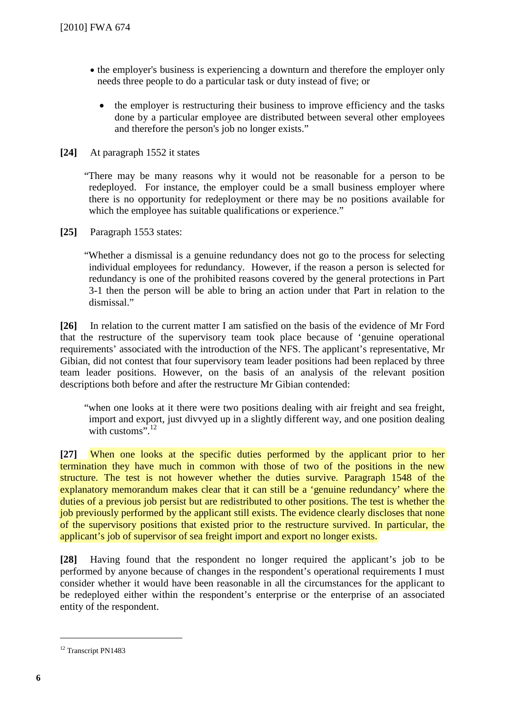- the employer's business is experiencing a downturn and therefore the employer only needs three people to do a particular task or duty instead of five; or
	- the employer is restructuring their business to improve efficiency and the tasks done by a particular employee are distributed between several other employees and therefore the person's job no longer exists."
- **[24]** At paragraph 1552 it states

"There may be many reasons why it would not be reasonable for a person to be redeployed. For instance, the employer could be a small business employer where there is no opportunity for redeployment or there may be no positions available for which the employee has suitable qualifications or experience."

**[25]** Paragraph 1553 states:

"Whether a dismissal is a genuine redundancy does not go to the process for selecting individual employees for redundancy. However, if the reason a person is selected for redundancy is one of the prohibited reasons covered by the general protections in Part 3-1 then the person will be able to bring an action under that Part in relation to the dismissal."

**[26]** In relation to the current matter I am satisfied on the basis of the evidence of Mr Ford that the restructure of the supervisory team took place because of 'genuine operational requirements' associated with the introduction of the NFS. The applicant's representative, Mr Gibian, did not contest that four supervisory team leader positions had been replaced by three team leader positions. However, on the basis of an analysis of the relevant position descriptions both before and after the restructure Mr Gibian contended:

"when one looks at it there were two positions dealing with air freight and sea freight, import and export, just divvyed up in a slightly different way, and one position dealing with customs".<sup>12</sup>

**[27]** When one looks at the specific duties performed by the applicant prior to her termination they have much in common with those of two of the positions in the new structure. The test is not however whether the duties survive. Paragraph 1548 of the explanatory memorandum makes clear that it can still be a 'genuine redundancy' where the duties of a previous job persist but are redistributed to other positions. The test is whether the job previously performed by the applicant still exists. The evidence clearly discloses that none of the supervisory positions that existed prior to the restructure survived. In particular, the applicant's job of supervisor of sea freight import and export no longer exists.

**[28]** Having found that the respondent no longer required the applicant's job to be performed by anyone because of changes in the respondent's operational requirements I must consider whether it would have been reasonable in all the circumstances for the applicant to be redeployed either within the respondent's enterprise or the enterprise of an associated entity of the respondent.

<sup>&</sup>lt;sup>12</sup> Transcript PN1483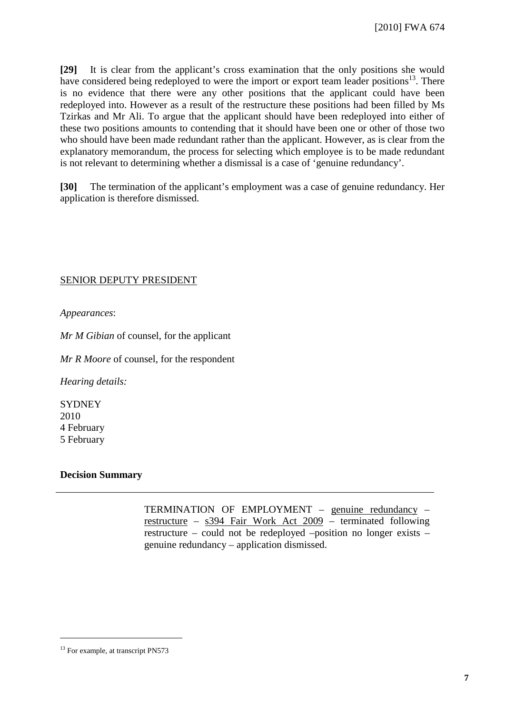**[29]** It is clear from the applicant's cross examination that the only positions she would have considered being redeployed to were the import or export team leader positions<sup>13</sup>. There is no evidence that there were any other positions that the applicant could have been redeployed into. However as a result of the restructure these positions had been filled by Ms Tzirkas and Mr Ali. To argue that the applicant should have been redeployed into either of these two positions amounts to contending that it should have been one or other of those two who should have been made redundant rather than the applicant. However, as is clear from the explanatory memorandum, the process for selecting which employee is to be made redundant is not relevant to determining whether a dismissal is a case of 'genuine redundancy'.

**[30]** The termination of the applicant's employment was a case of genuine redundancy. Her application is therefore dismissed.

### SENIOR DEPUTY PRESIDENT

*Appearances*:

*Mr M Gibian* of counsel, for the applicant

*Mr R Moore* of counsel, for the respondent

*Hearing details:*

**SYDNEY** 2010 4 February 5 February

### **Decision Summary**

TERMINATION OF EMPLOYMENT – genuine redundancy – restructure – s394 Fair Work Act 2009 – terminated following restructure – could not be redeployed –position no longer exists – genuine redundancy – application dismissed.

<sup>&</sup>lt;sup>13</sup> For example, at transcript PN573